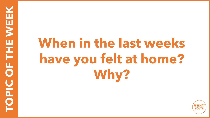## **When in the last weeks have you felt at home? Why?**

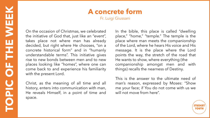## **A concrete form**

Fr. Luigi Giussani

On the occasion of Christmas, we celebrated the initiative of God that, just like an "event", takes place not where man has already decided, but right where He chooses, "on a concrete historical form" and in "humanly understandable terms". This initiative gives rise to new bonds between men and to new places looking like "homes", where one can come back to and experience his familiarity with the present Lord.

Christ, as the meaning of all time and all history, enters into communication with man, He reveals Himself, in a point of time and space.

In the bible, this place is called "dwelling place," "home," "temple." The temple is the place where man meets the companionship of the Lord, where he hears His voice and His message. It is the place where the Lord points the way, the stretch of the road that He wants to show, where everything (the companionship amongst men and with things) recalls the nearness of Destiny.

This is the answer to the ultimate need of man's reason, expressed by Moses: "Show me your face; if You do not come with us we will not move from here".

rout